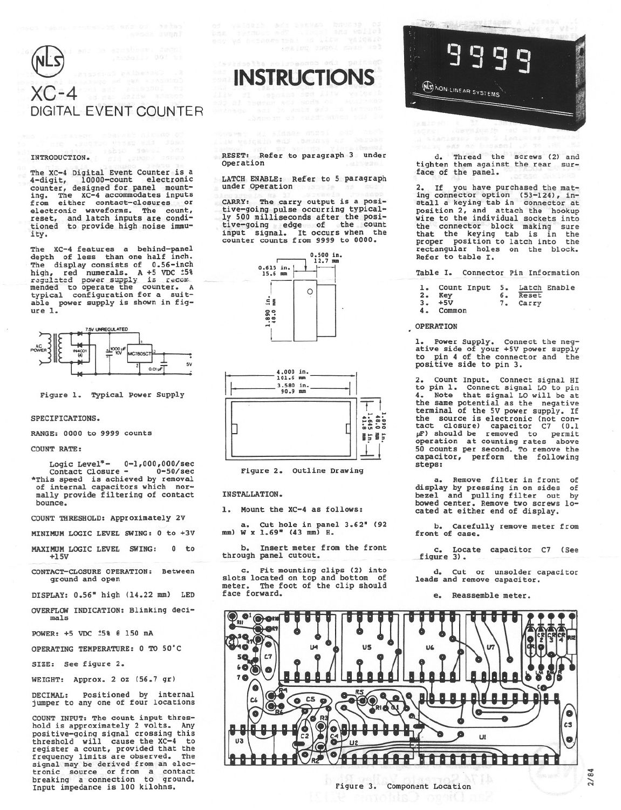# $X() - 4$ DIGITAL EVENT COUNTER

# INTRODUCTION.

The XC-4 Digital Event Counter is a 4-digit, 10000-count electronic<br>counter, designed for panel mount-10000-count electronic ing. The XC-4 accommodates inputs<br>from either contact-closures or electronic waveforms. The count,<br>reset, and latch inputs are condi-<br>tioned to provide high noise immuity.

XC-4 features a behind-panel The depth of less than one half inch. The display consists of 0.56-inch The display consists of 0.50-linen<br>high, red numerals. A +5 VDC 158<br>regulated power supply is recommended to operate the counter. A<br>typical configuration for a suitable power supply is shown in figure 1.



Figure 1. Typical Power Supply

## SPECIFICATIONS.

RANGE: 0000 to 9999 counts

#### **COUNT RATE:**

Logic Level<sup>\*</sup>-  $0-1,000,000/\text{sec}$ <br>Contact Closure -  $0-50/\text{sec}$ <br>\*This speed is achieved by removal<br>of internal capacitors which normally provide filtering of contact bounce.

COUNT THRESHOLD: Approximately 2V

MINIMUM LOGIC LEVEL SWING: 0 to +3V

MAXIMUM LOGIC LEVEL SWING:  $0$  to  $+15V$ 

CONTACT-CLOSURE OPERATION: Between ground and open

DISPLAY: 0.56" high (14.22 mm) LED

OVERFLOW INDICATION: Blinking decimals

POWER: +5 VDC ±5% @ 150 mA

OPERATING TEMPERATURE: 0 TO 50°C

SIZE: See figure 2.

WEIGHT: Approx. 2 oz (56.7 gr)

DECIMAL: Positioned by internal<br>jumper to any one of four locations

COUNT INPUT: The count input thresbook is approximately 2 volts. Any<br>positive-going signal crossing this<br>positive-going signal crossing this<br>threshold will cause the XC-4 to<br>register a count, provided that the<br>frequency limits are observed. The signal may be derived from an elec-<br>tronic source or from a contact<br>breaking a connection to ground. Input impedance is 100 kilohns.

RESET: Refer to paragraph 3 under Operation

**INSTRUCTIONS** 

LATCH ENABLE: Refer to 5 paragraph under Operation

CARRY: The carry output is a posi-<br>tive-going pulse occurring typical-<br>ly 500 milliseconds after the positive-going edge of the count<br>input signal. It occurs when the counter counts from 9999 to 0000.





Figure 2. Outline Drawing

INSTALLATION.

1. Mount the XC-4 as follows:

Cut hole in panel 3.62" (92 a. W x 1.69" (43 mm) H. (mm

 $<sub>b</sub>$ </sub> Insert meter from the front through panel cutout.

Fit mounting clips (2) into slots located on top and bottom of meter. The foot of the clip should face forward.

**NON-LINEAR SYSTEMS** 

d. Thread the screws (2) and tighten them against the rear surface of the panel.

2. If you have purchased the mat-<br>ing connector option  $(53-124)$ , in-<br>stall a keying tab in connector at<br>position 2, and attach the hookup<br>wire to the individual sockets into<br>the connector block making sure<br>that the keyi Refer to table I.

Table I. Connector Pin Information

| 1. Count Input 5. Latch Enable |          |  |
|--------------------------------|----------|--|
| 2. Key                         | 6. Reset |  |
| $3 - 15V$                      | 7. Carry |  |
| 4. Common                      |          |  |

## OPERATION

1. Power Supply. Connect the neg-<br>ative side of your +5V power supply<br>to pin 4 of the connector and the positive side to pin 3.

2. Count Input. Connect signal HI<br>to pin 1. Connect signal LO to pin<br>4. Note that signal LO will be at the same potential as the negative terminal of the 5V power supply. If terminal of the 5V power supply. If<br>the source is electronic (not con-<br>tact closure) capacitor C7 (0.1<br> $\mu$ F) should be removed to permit<br>operation at counting rates above<br>50 counts per second, To remove the<br>capacitor, per steps:

a. Remove filter in front of display by pressing in on sides of<br>bezel and pulling filter out by<br>bowed center. Remove two screws located at either end of display.

 $b^{\bullet}$ Carefully remove meter from front of case.

c. Locate capacitor C7 (See figure 3).

d. Cut or unsolder capacitor leads and remove capacitor.

> Reassemble meter. e.